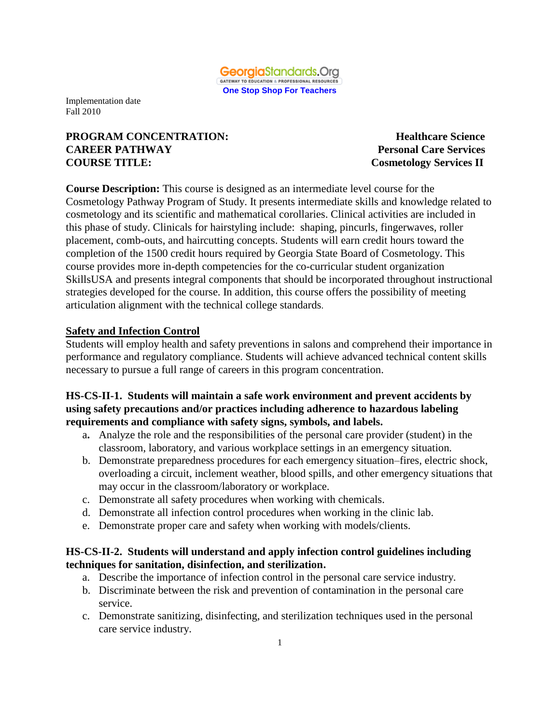

# **PROGRAM CONCENTRATION:** Healthcare Science **CAREER PATHWAY Personal Care Services COURSE TITLE: Cosmetology Services II**

**Course Description:** This course is designed as an intermediate level course for the Cosmetology Pathway Program of Study. It presents intermediate skills and knowledge related to cosmetology and its scientific and mathematical corollaries. Clinical activities are included in this phase of study. Clinicals for hairstyling include: shaping, pincurls, fingerwaves, roller placement, comb-outs, and haircutting concepts. Students will earn credit hours toward the completion of the 1500 credit hours required by Georgia State Board of Cosmetology. This course provides more in-depth competencies for the co-curricular student organization SkillsUSA and presents integral components that should be incorporated throughout instructional strategies developed for the course. In addition, this course offers the possibility of meeting articulation alignment with the technical college standards.

### **Safety and Infection Control**

Students will employ health and safety preventions in salons and comprehend their importance in performance and regulatory compliance. Students will achieve advanced technical content skills necessary to pursue a full range of careers in this program concentration.

### **HS-CS-II-1. Students will maintain a safe work environment and prevent accidents by using safety precautions and/or practices including adherence to hazardous labeling requirements and compliance with safety signs, symbols, and labels.**

- a**.** Analyze the role and the responsibilities of the personal care provider (student) in the classroom, laboratory, and various workplace settings in an emergency situation*.*
- b. Demonstrate preparedness procedures for each emergency situation–fires, electric shock, overloading a circuit, inclement weather, blood spills, and other emergency situations that may occur in the classroom/laboratory or workplace.
- c. Demonstrate all safety procedures when working with chemicals.
- d. Demonstrate all infection control procedures when working in the clinic lab.
- e. Demonstrate proper care and safety when working with models/clients.

## **HS-CS-II-2. Students will understand and apply infection control guidelines including techniques for sanitation, disinfection, and sterilization.**

- a. Describe the importance of infection control in the personal care service industry.
- b. Discriminate between the risk and prevention of contamination in the personal care service.
- c. Demonstrate sanitizing, disinfecting, and sterilization techniques used in the personal care service industry.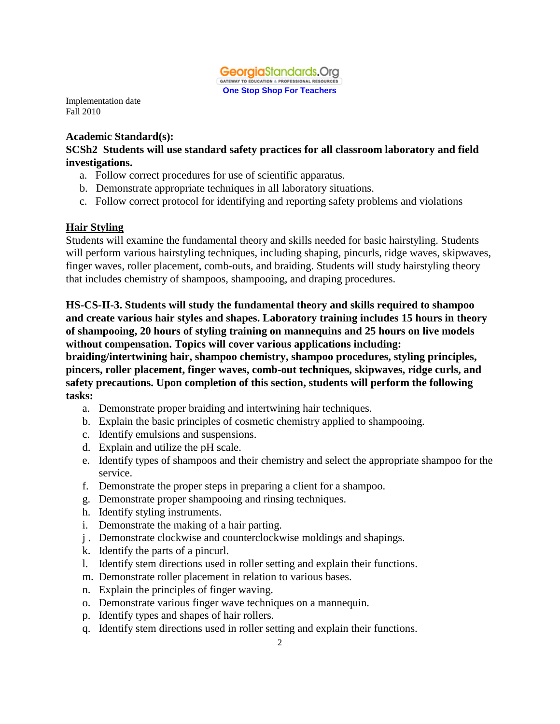

#### **Academic Standard(s):**

**SCSh2 Students will use standard safety practices for all classroom laboratory and field investigations.**

- a. Follow correct procedures for use of scientific apparatus.
- b. Demonstrate appropriate techniques in all laboratory situations.
- c. Follow correct protocol for identifying and reporting safety problems and violations

#### **Hair Styling**

Students will examine the fundamental theory and skills needed for basic hairstyling. Students will perform various hairstyling techniques, including shaping, pincurls, ridge waves, skipwaves, finger waves, roller placement, comb-outs, and braiding. Students will study hairstyling theory that includes chemistry of shampoos, shampooing, and draping procedures.

**HS-CS-II-3. Students will study the fundamental theory and skills required to shampoo and create various hair styles and shapes. Laboratory training includes 15 hours in theory of shampooing, 20 hours of styling training on mannequins and 25 hours on live models without compensation. Topics will cover various applications including:** 

**braiding/intertwining hair, shampoo chemistry, shampoo procedures, styling principles, pincers, roller placement, finger waves, comb-out techniques, skipwaves, ridge curls, and safety precautions. Upon completion of this section, students will perform the following tasks:**

- a. Demonstrate proper braiding and intertwining hair techniques.
- b. Explain the basic principles of cosmetic chemistry applied to shampooing.
- c. Identify emulsions and suspensions.
- d. Explain and utilize the pH scale.
- e. Identify types of shampoos and their chemistry and select the appropriate shampoo for the service.
- f. Demonstrate the proper steps in preparing a client for a shampoo.
- g. Demonstrate proper shampooing and rinsing techniques.
- h. Identify styling instruments.
- i. Demonstrate the making of a hair parting.
- j . Demonstrate clockwise and counterclockwise moldings and shapings.
- k. Identify the parts of a pincurl.
- l. Identify stem directions used in roller setting and explain their functions.
- m. Demonstrate roller placement in relation to various bases.
- n. Explain the principles of finger waving.
- o. Demonstrate various finger wave techniques on a mannequin.
- p. Identify types and shapes of hair rollers.
- q. Identify stem directions used in roller setting and explain their functions.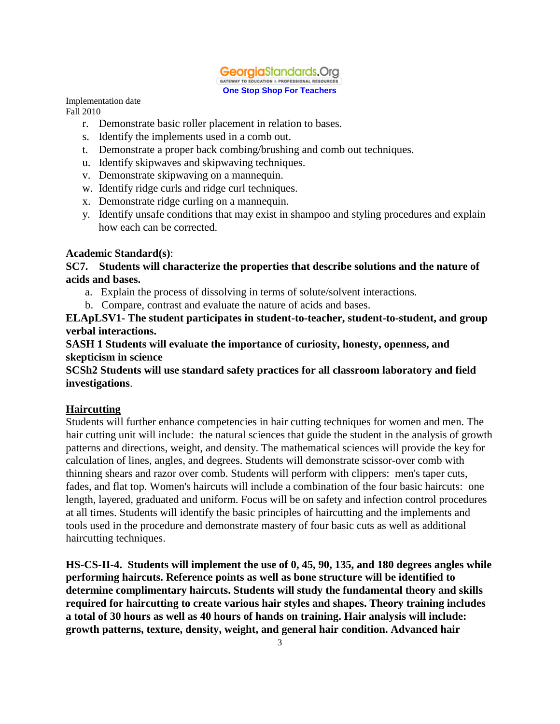

- r. Demonstrate basic roller placement in relation to bases.
- s. Identify the implements used in a comb out.
- t. Demonstrate a proper back combing/brushing and comb out techniques.
- u. Identify skipwaves and skipwaving techniques.
- v. Demonstrate skipwaving on a mannequin.
- w. Identify ridge curls and ridge curl techniques.
- x. Demonstrate ridge curling on a mannequin.
- y. Identify unsafe conditions that may exist in shampoo and styling procedures and explain how each can be corrected.

#### **Academic Standard(s)**:

**SC7. Students will characterize the properties that describe solutions and the nature of acids and bases.**

- a. Explain the process of dissolving in terms of solute/solvent interactions.
- b. Compare, contrast and evaluate the nature of acids and bases.

**ELApLSV1- The student participates in student-to-teacher, student-to-student, and group verbal interactions.**

**SASH 1 Students will evaluate the importance of curiosity, honesty, openness, and skepticism in science**

**SCSh2 Students will use standard safety practices for all classroom laboratory and field investigations**.

## **Haircutting**

Students will further enhance competencies in hair cutting techniques for women and men. The hair cutting unit will include: the natural sciences that guide the student in the analysis of growth patterns and directions, weight, and density. The mathematical sciences will provide the key for calculation of lines, angles, and degrees. Students will demonstrate scissor-over comb with thinning shears and razor over comb. Students will perform with clippers: men's taper cuts, fades, and flat top. Women's haircuts will include a combination of the four basic haircuts: one length, layered, graduated and uniform. Focus will be on safety and infection control procedures at all times. Students will identify the basic principles of haircutting and the implements and tools used in the procedure and demonstrate mastery of four basic cuts as well as additional haircutting techniques.

**HS-CS-II-4. Students will implement the use of 0, 45, 90, 135, and 180 degrees angles while performing haircuts. Reference points as well as bone structure will be identified to determine complimentary haircuts. Students will study the fundamental theory and skills required for haircutting to create various hair styles and shapes. Theory training includes a total of 30 hours as well as 40 hours of hands on training. Hair analysis will include: growth patterns, texture, density, weight, and general hair condition. Advanced hair**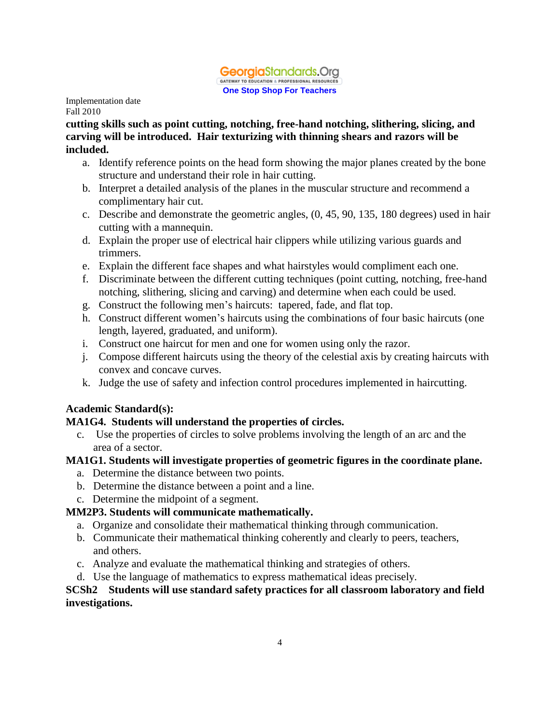

**cutting skills such as point cutting, notching, free-hand notching, slithering, slicing, and carving will be introduced. Hair texturizing with thinning shears and razors will be included.** 

- a. Identify reference points on the head form showing the major planes created by the bone structure and understand their role in hair cutting.
- b. Interpret a detailed analysis of the planes in the muscular structure and recommend a complimentary hair cut.
- c. Describe and demonstrate the geometric angles, (0, 45, 90, 135, 180 degrees) used in hair cutting with a mannequin.
- d. Explain the proper use of electrical hair clippers while utilizing various guards and trimmers.
- e. Explain the different face shapes and what hairstyles would compliment each one.
- f. Discriminate between the different cutting techniques (point cutting, notching, free-hand notching, slithering, slicing and carving) and determine when each could be used.
- g. Construct the following men's haircuts: tapered, fade, and flat top.
- h. Construct different women's haircuts using the combinations of four basic haircuts (one length, layered, graduated, and uniform).
- i. Construct one haircut for men and one for women using only the razor.
- j. Compose different haircuts using the theory of the celestial axis by creating haircuts with convex and concave curves.
- k. Judge the use of safety and infection control procedures implemented in haircutting.

# **Academic Standard(s):**

## **MA1G4. Students will understand the properties of circles.**

c. Use the properties of circles to solve problems involving the length of an arc and the area of a sector.

## **MA1G1. Students will investigate properties of geometric figures in the coordinate plane.**

- a. Determine the distance between two points.
- b. Determine the distance between a point and a line.
- c. Determine the midpoint of a segment.

# **MM2P3. Students will communicate mathematically.**

- a. Organize and consolidate their mathematical thinking through communication.
- b. Communicate their mathematical thinking coherently and clearly to peers, teachers, and others.
- c. Analyze and evaluate the mathematical thinking and strategies of others.
- d. Use the language of mathematics to express mathematical ideas precisely.

## **SCSh2 Students will use standard safety practices for all classroom laboratory and field investigations.**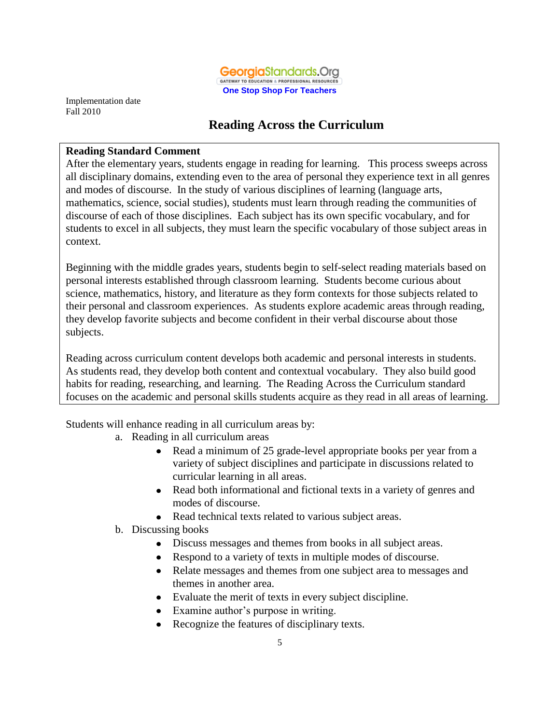

# **Reading Across the Curriculum**

#### **Reading Standard Comment**

After the elementary years, students engage in reading for learning. This process sweeps across all disciplinary domains, extending even to the area of personal they experience text in all genres and modes of discourse. In the study of various disciplines of learning (language arts, mathematics, science, social studies), students must learn through reading the communities of discourse of each of those disciplines. Each subject has its own specific vocabulary, and for students to excel in all subjects, they must learn the specific vocabulary of those subject areas in context.

Beginning with the middle grades years, students begin to self-select reading materials based on personal interests established through classroom learning. Students become curious about science, mathematics, history, and literature as they form contexts for those subjects related to their personal and classroom experiences. As students explore academic areas through reading, they develop favorite subjects and become confident in their verbal discourse about those subjects.

Reading across curriculum content develops both academic and personal interests in students. As students read, they develop both content and contextual vocabulary. They also build good habits for reading, researching, and learning. The Reading Across the Curriculum standard focuses on the academic and personal skills students acquire as they read in all areas of learning.

Students will enhance reading in all curriculum areas by:

- a. Reading in all curriculum areas
	- Read a minimum of 25 grade-level appropriate books per year from a variety of subject disciplines and participate in discussions related to curricular learning in all areas.
	- Read both informational and fictional texts in a variety of genres and modes of discourse.
	- Read technical texts related to various subject areas.
- b. Discussing books
	- Discuss messages and themes from books in all subject areas.
	- Respond to a variety of texts in multiple modes of discourse.
	- Relate messages and themes from one subject area to messages and themes in another area.
	- Evaluate the merit of texts in every subject discipline.
	- Examine author's purpose in writing.
	- Recognize the features of disciplinary texts.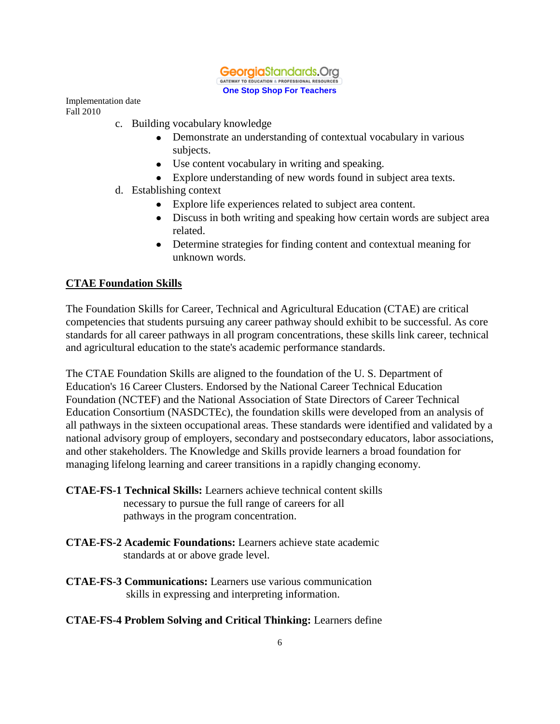

- c. Building vocabulary knowledge
	- Demonstrate an understanding of contextual vocabulary in various subjects.
	- Use content vocabulary in writing and speaking.
	- Explore understanding of new words found in subject area texts.
- d. Establishing context
	- Explore life experiences related to subject area content.
	- Discuss in both writing and speaking how certain words are subject area related.
	- Determine strategies for finding content and contextual meaning for unknown words.

### **CTAE Foundation Skills**

The Foundation Skills for Career, Technical and Agricultural Education (CTAE) are critical competencies that students pursuing any career pathway should exhibit to be successful. As core standards for all career pathways in all program concentrations, these skills link career, technical and agricultural education to the state's academic performance standards.

The CTAE Foundation Skills are aligned to the foundation of the U. S. Department of Education's 16 Career Clusters. Endorsed by the National Career Technical Education Foundation (NCTEF) and the National Association of State Directors of Career Technical Education Consortium (NASDCTEc), the foundation skills were developed from an analysis of all pathways in the sixteen occupational areas. These standards were identified and validated by a national advisory group of employers, secondary and postsecondary educators, labor associations, and other stakeholders. The Knowledge and Skills provide learners a broad foundation for managing lifelong learning and career transitions in a rapidly changing economy.

- **CTAE-FS-1 Technical Skills:** Learners achieve technical content skills necessary to pursue the full range of careers for all pathways in the program concentration.
- **CTAE-FS-2 Academic Foundations:** Learners achieve state academic standards at or above grade level.
- **CTAE-FS-3 Communications:** Learners use various communication skills in expressing and interpreting information.

## **CTAE-FS-4 Problem Solving and Critical Thinking:** Learners define